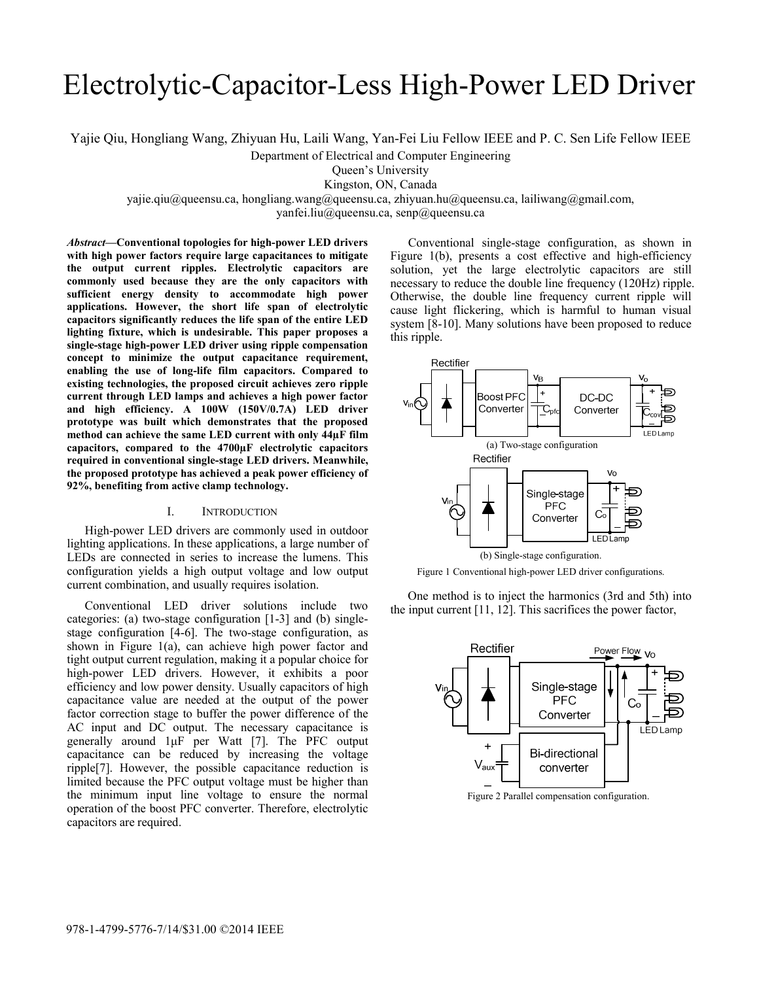# Electrolytic-Capacitor-Less High-Power LED Driver

Yajie Qiu, Hongliang Wang, Zhiyuan Hu, Laili Wang, Yan-Fei Liu Fellow IEEE and P. C. Sen Life Fellow IEEE

Department of Electrical and Computer Engineering

Queen's University

Kingston, ON, Canada

yajie.qiu@queensu.ca, hongliang.wang@queensu.ca, zhiyuan.hu@queensu.ca, lailiwang@gmail.com,

yanfei.liu@queensu.ca, senp@queensu.ca

*Abstract***—Conventional topologies for high-power LED drivers with high power factors require large capacitances to mitigate the output current ripples. Electrolytic capacitors are commonly used because they are the only capacitors with sufficient energy density to accommodate high power applications. However, the short life span of electrolytic capacitors significantly reduces the life span of the entire LED lighting fixture, which is undesirable. This paper proposes a single-stage high-power LED driver using ripple compensation concept to minimize the output capacitance requirement, enabling the use of long-life film capacitors. Compared to existing technologies, the proposed circuit achieves zero ripple current through LED lamps and achieves a high power factor and high efficiency. A 100W (150V/0.7A) LED driver prototype was built which demonstrates that the proposed method can achieve the same LED current with only 44µF film capacitors, compared to the 4700µF electrolytic capacitors required in conventional single-stage LED drivers. Meanwhile, the proposed prototype has achieved a peak power efficiency of 92%, benefiting from active clamp technology.** 

## I. INTRODUCTION

High-power LED drivers are commonly used in outdoor lighting applications. In these applications, a large number of LEDs are connected in series to increase the lumens. This configuration yields a high output voltage and low output current combination, and usually requires isolation.

Conventional LED driver solutions include two categories: (a) two-stage configuration [1-3] and (b) singlestage configuration [4-6]. The two-stage configuration, as shown in Figure 1(a), can achieve high power factor and tight output current regulation, making it a popular choice for high-power LED drivers. However, it exhibits a poor efficiency and low power density. Usually capacitors of high capacitance value are needed at the output of the power factor correction stage to buffer the power difference of the AC input and DC output. The necessary capacitance is generally around 1μF per Watt [7]. The PFC output capacitance can be reduced by increasing the voltage ripple[7]. However, the possible capacitance reduction is limited because the PFC output voltage must be higher than the minimum input line voltage to ensure the normal operation of the boost PFC converter. Therefore, electrolytic capacitors are required.

Conventional single-stage configuration, as shown in Figure 1(b), presents a cost effective and high-efficiency solution, yet the large electrolytic capacitors are still necessary to reduce the double line frequency (120Hz) ripple. Otherwise, the double line frequency current ripple will cause light flickering, which is harmful to human visual system [8-10]. Many solutions have been proposed to reduce this ripple.



Figure 1 Conventional high-power LED driver configurations.

One method is to inject the harmonics (3rd and 5th) into the input current [11, 12]. This sacrifices the power factor,



Figure 2 Parallel compensation configuration.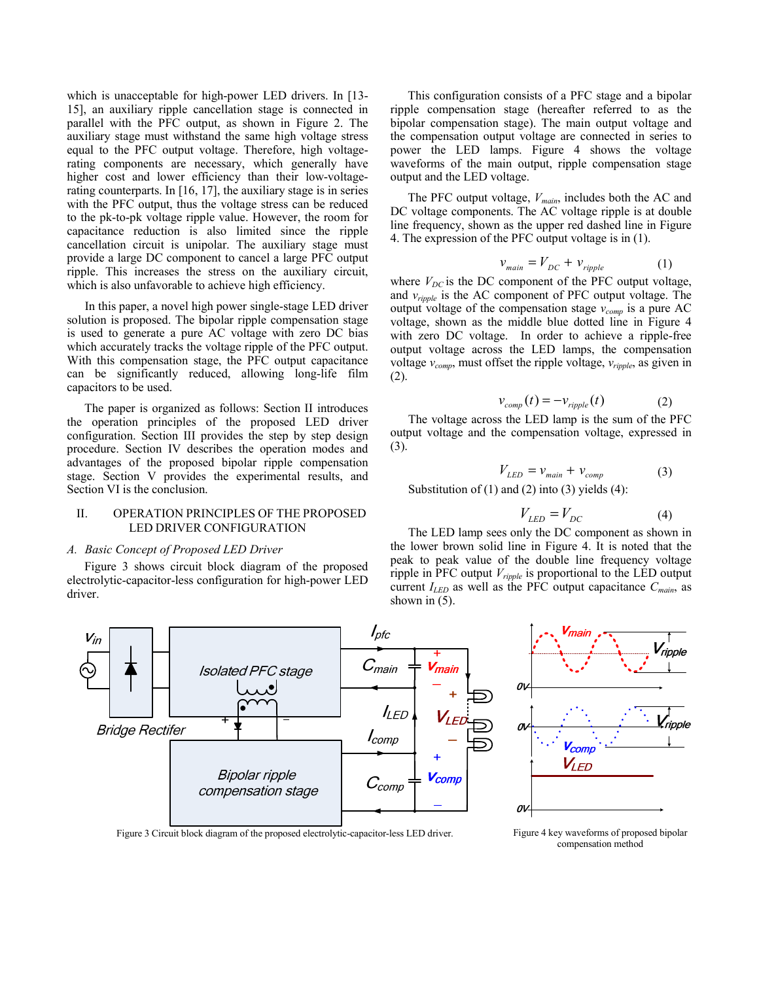which is unacceptable for high-power LED drivers. In [13- 15], an auxiliary ripple cancellation stage is connected in parallel with the PFC output, as shown in Figure 2. The auxiliary stage must withstand the same high voltage stress equal to the PFC output voltage. Therefore, high voltagerating components are necessary, which generally have higher cost and lower efficiency than their low-voltagerating counterparts. In [16, 17], the auxiliary stage is in series with the PFC output, thus the voltage stress can be reduced to the pk-to-pk voltage ripple value. However, the room for capacitance reduction is also limited since the ripple cancellation circuit is unipolar. The auxiliary stage must provide a large DC component to cancel a large PFC output ripple. This increases the stress on the auxiliary circuit, which is also unfavorable to achieve high efficiency.

In this paper, a novel high power single-stage LED driver solution is proposed. The bipolar ripple compensation stage is used to generate a pure AC voltage with zero DC bias which accurately tracks the voltage ripple of the PFC output. With this compensation stage, the PFC output capacitance can be significantly reduced, allowing long-life film capacitors to be used.

The paper is organized as follows: Section II introduces the operation principles of the proposed LED driver configuration. Section III provides the step by step design procedure. Section IV describes the operation modes and advantages of the proposed bipolar ripple compensation stage. Section V provides the experimental results, and Section VI is the conclusion.

## II. OPERATION PRINCIPLES OF THE PROPOSED LED DRIVER CONFIGURATION

# *A. Basic Concept of Proposed LED Driver*

Figure 3 shows circuit block diagram of the proposed electrolytic-capacitor-less configuration for high-power LED driver.

This configuration consists of a PFC stage and a bipolar ripple compensation stage (hereafter referred to as the bipolar compensation stage). The main output voltage and the compensation output voltage are connected in series to power the LED lamps. Figure 4 shows the voltage waveforms of the main output, ripple compensation stage output and the LED voltage.

The PFC output voltage, *Vmain*, includes both the AC and DC voltage components. The AC voltage ripple is at double line frequency, shown as the upper red dashed line in Figure 4. The expression of the PFC output voltage is in (1).

$$
v_{\text{main}} = V_{DC} + v_{\text{ripple}} \tag{1}
$$

where  $V_{DC}$  is the DC component of the PFC output voltage, and *vripple* is the AC component of PFC output voltage. The output voltage of the compensation stage  $v_{comp}$  is a pure AC voltage, shown as the middle blue dotted line in Figure 4 with zero DC voltage. In order to achieve a ripple-free output voltage across the LED lamps, the compensation voltage  $v_{comp}$ , must offset the ripple voltage,  $v_{ripple}$ , as given in (2).

$$
v_{comp}(t) = -v_{ripple}(t)
$$
 (2)

The voltage across the LED lamp is the sum of the PFC output voltage and the compensation voltage, expressed in (3).

$$
V_{LED} = v_{main} + v_{comp}
$$
 (3)  
Substitution of (1) and (2) into (3) yields (4):

$$
V_{LED} = V_{DC} \tag{4}
$$

The LED lamp sees only the DC component as shown in the lower brown solid line in Figure 4. It is noted that the peak to peak value of the double line frequency voltage ripple in PFC output *Vripple* is proportional to the LED output current  $I_{LED}$  as well as the PFC output capacitance  $C_{main}$  as shown in  $(5)$ .



Figure 3 Circuit block diagram of the proposed electrolytic-capacitor-less LED driver. Figure 4 key waveforms of proposed bipolar

compensation method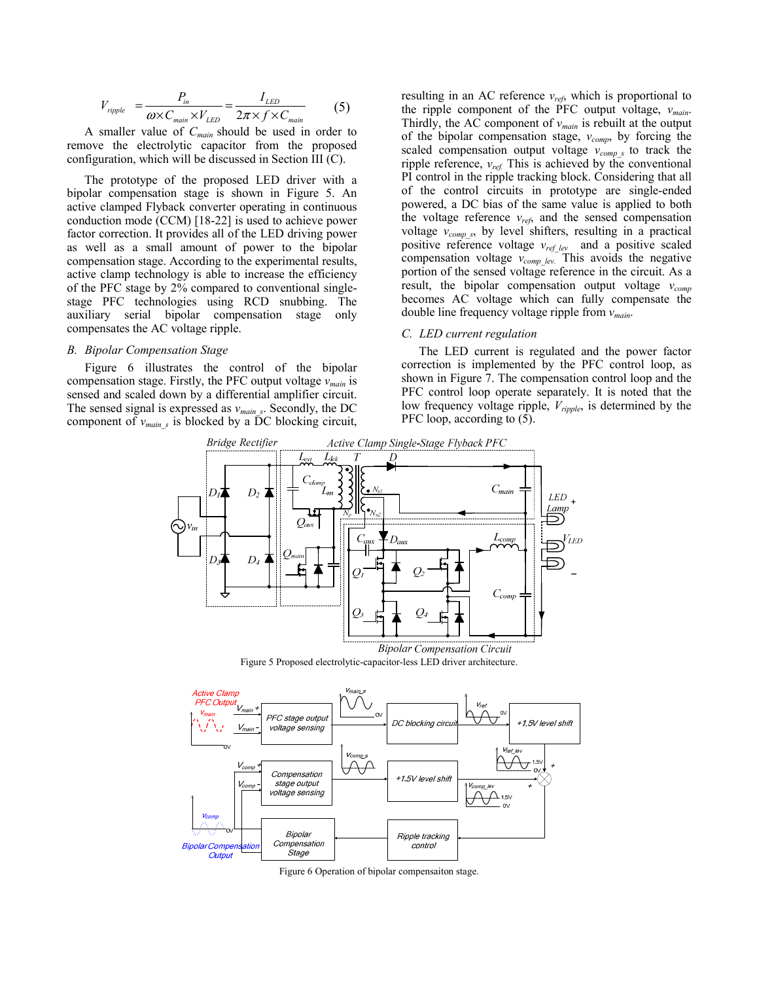$$
V_{\text{ripple}} = \frac{P_{\text{in}}}{\omega \times C_{\text{main}} \times V_{\text{LED}}} = \frac{I_{\text{LED}}}{2\pi \times f \times C_{\text{main}}} \tag{5}
$$

A smaller value of *Cmain* should be used in order to remove the electrolytic capacitor from the proposed configuration, which will be discussed in Section III (C).

The prototype of the proposed LED driver with a bipolar compensation stage is shown in Figure 5. An active clamped Flyback converter operating in continuous conduction mode (CCM) [18-22] is used to achieve power factor correction. It provides all of the LED driving power as well as a small amount of power to the bipolar compensation stage. According to the experimental results, active clamp technology is able to increase the efficiency of the PFC stage by 2% compared to conventional singlestage PFC technologies using RCD snubbing. The auxiliary serial bipolar compensation stage only compensates the AC voltage ripple.

## *B. Bipolar Compensation Stage*

Figure 6 illustrates the control of the bipolar compensation stage. Firstly, the PFC output voltage *vmain* is sensed and scaled down by a differential amplifier circuit. The sensed signal is expressed as *vmain\_s*. Secondly, the DC component of  $v_{main}$  is blocked by a DC blocking circuit,

resulting in an AC reference *vref*, which is proportional to the ripple component of the PFC output voltage, *vmain*. Thirdly, the AC component of *vmain* is rebuilt at the output of the bipolar compensation stage,  $v_{comp}$ , by forcing the scaled compensation output voltage  $v_{comp_s}$  to track the ripple reference,  $v_{ref.}$  This is achieved by the conventional PI control in the ripple tracking block. Considering that all of the control circuits in prototype are single-ended powered, a DC bias of the same value is applied to both the voltage reference  $v_{ref}$ , and the sensed compensation voltage  $v_{comp,s}$ , by level shifters, resulting in a practical positive reference voltage  $v_{ref\_lev}$  and a positive scaled compensation voltage  $v_{comp\;lev.}$  This avoids the negative portion of the sensed voltage reference in the circuit. As a result, the bipolar compensation output voltage  $v_{comp}$ becomes AC voltage which can fully compensate the double line frequency voltage ripple from *vmain*.

# *C. LED current regulation*

The LED current is regulated and the power factor correction is implemented by the PFC control loop, as shown in Figure 7. The compensation control loop and the PFC control loop operate separately. It is noted that the low frequency voltage ripple, *Vripple*, is determined by the PFC loop, according to (5).





Figure 6 Operation of bipolar compensaiton stage.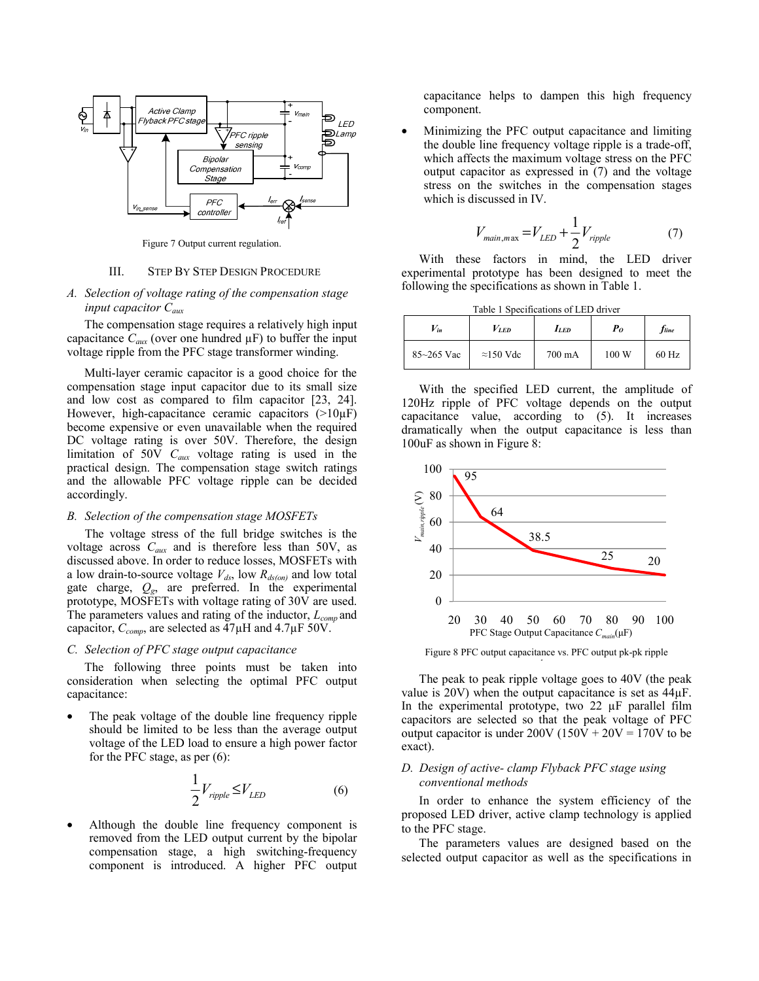

Figure 7 Output current regulation.

#### III. STEP BY STEP DESIGN PROCEDURE

# *A. Selection of voltage rating of the compensation stage input capacitor Caux*

The compensation stage requires a relatively high input capacitance  $C_{aux}$  (over one hundred  $\mu$ F) to buffer the input voltage ripple from the PFC stage transformer winding.

Multi-layer ceramic capacitor is a good choice for the compensation stage input capacitor due to its small size and low cost as compared to film capacitor [23, 24]. However, high-capacitance ceramic capacitors  $(>10\mu$ F) become expensive or even unavailable when the required DC voltage rating is over 50V. Therefore, the design limitation of 50V *Caux* voltage rating is used in the practical design. The compensation stage switch ratings and the allowable PFC voltage ripple can be decided accordingly.

## *B. Selection of the compensation stage MOSFETs*

The voltage stress of the full bridge switches is the voltage across *Caux* and is therefore less than 50V, as discussed above. In order to reduce losses, MOSFETs with a low drain-to-source voltage  $V_{ds}$ , low  $R_{ds(on)}$  and low total gate charge, *Qg*, are preferred. In the experimental prototype, MOSFETs with voltage rating of 30V are used. The parameters values and rating of the inductor, *Lcomp* and capacitor, *Ccomp*, are selected as 47µH and 4.7µF 50V.

#### *C. Selection of PFC stage output capacitance*

The following three points must be taken into consideration when selecting the optimal PFC output capacitance:

The peak voltage of the double line frequency ripple should be limited to be less than the average output voltage of the LED load to ensure a high power factor for the PFC stage, as per (6):

$$
\frac{1}{2}V_{\text{right}} \le V_{LED} \tag{6}
$$

Although the double line frequency component is removed from the LED output current by the bipolar compensation stage, a high switching-frequency component is introduced. A higher PFC output capacitance helps to dampen this high frequency component.

• Minimizing the PFC output capacitance and limiting the double line frequency voltage ripple is a trade-off, which affects the maximum voltage stress on the PFC output capacitor as expressed in (7) and the voltage stress on the switches in the compensation stages which is discussed in IV.

$$
V_{\text{main}, \text{max}} = V_{LED} + \frac{1}{2} V_{\text{ripple}} \tag{7}
$$

With these factors in mind, the LED driver experimental prototype has been designed to meet the following the specifications as shown in Table 1.

| Table 1 Specifications of LED driver |                   |            |         |                          |
|--------------------------------------|-------------------|------------|---------|--------------------------|
| $V_{in}$                             | $V_{LED}$         | <b>LED</b> | $P_{O}$ | <i>f</i> <sub>line</sub> |
| $85 - 265$ Vac                       | $\approx$ 150 Vdc | 700 mA     | 100 W   | $60$ Hz                  |

With the specified LED current, the amplitude of 120Hz ripple of PFC voltage depends on the output capacitance value, according to (5). It increases dramatically when the output capacitance is less than 100uF as shown in Figure 8:



Figure 8 PFC output capacitance vs. PFC output pk-pk ripple l

The peak to peak ripple voltage goes to 40V (the peak value is 20V) when the output capacitance is set as 44µF. In the experimental prototype, two  $22 \mu$ F parallel film capacitors are selected so that the peak voltage of PFC output capacitor is under  $200V (150V + 20V = 170V$  to be exact).

# *D. Design of active- clamp Flyback PFC stage using conventional methods*

In order to enhance the system efficiency of the proposed LED driver, active clamp technology is applied to the PFC stage.

The parameters values are designed based on the selected output capacitor as well as the specifications in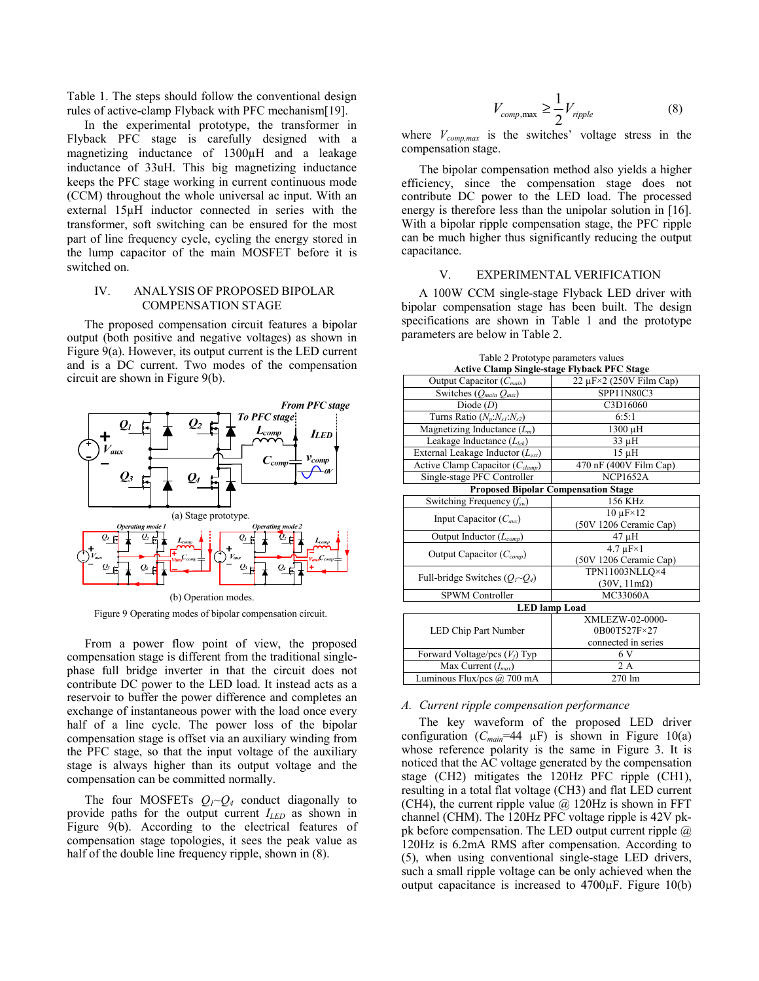Table 1. The steps should follow the conventional design rules of active-clamp Flyback with PFC mechanism[19].

In the experimental prototype, the transformer in Flyback PFC stage is carefully designed with a magnetizing inductance of 1300µH and a leakage inductance of 33uH. This big magnetizing inductance keeps the PFC stage working in current continuous mode (CCM) throughout the whole universal ac input. With an external 15µH inductor connected in series with the transformer, soft switching can be ensured for the most part of line frequency cycle, cycling the energy stored in the lump capacitor of the main MOSFET before it is switched on.

## IV. ANALYSIS OF PROPOSED BIPOLAR COMPENSATION STAGE

The proposed compensation circuit features a bipolar output (both positive and negative voltages) as shown in Figure 9(a). However, its output current is the LED current and is a DC current. Two modes of the compensation circuit are shown in Figure 9(b).



Figure 9 Operating modes of bipolar compensation circuit.

From a power flow point of view, the proposed compensation stage is different from the traditional singlephase full bridge inverter in that the circuit does not contribute DC power to the LED load. It instead acts as a reservoir to buffer the power difference and completes an exchange of instantaneous power with the load once every half of a line cycle. The power loss of the bipolar compensation stage is offset via an auxiliary winding from the PFC stage, so that the input voltage of the auxiliary stage is always higher than its output voltage and the compensation can be committed normally.

The four MOSFETs  $Q_1 \sim Q_4$  conduct diagonally to provide paths for the output current  $I_{\text{LED}}$  as shown in Figure 9(b). According to the electrical features of compensation stage topologies, it sees the peak value as half of the double line frequency ripple, shown in (8).

$$
V_{comp, \max} \ge \frac{1}{2} V_{ripple} \tag{8}
$$

where  $V_{comp,max}$  is the switches' voltage stress in the compensation stage.

The bipolar compensation method also yields a higher efficiency, since the compensation stage does not contribute DC power to the LED load. The processed energy is therefore less than the unipolar solution in [16]. With a bipolar ripple compensation stage, the PFC ripple can be much higher thus significantly reducing the output capacitance.

## V. EXPERIMENTAL VERIFICATION

A 100W CCM single-stage Flyback LED driver with bipolar compensation stage has been built. The design specifications are shown in Table 1 and the prototype parameters are below in Table 2.

| <b>Active Clamp Single-stage Flyback PFC Stage</b> |                                       |  |  |  |
|----------------------------------------------------|---------------------------------------|--|--|--|
| Output Capacitor (C <sub>main</sub> )              | $22 \mu$ F $\times$ 2 (250V Film Cap) |  |  |  |
| Switches $(Q_{main} Q_{aux})$                      | <b>SPP11N80C3</b>                     |  |  |  |
| Diode $(D)$                                        | C3D16060                              |  |  |  |
| Turns Ratio $(N_p:N_{s1}:N_{s2})$                  | 6:5:1                                 |  |  |  |
| Magnetizing Inductance $(L_m)$                     | 1300 μH                               |  |  |  |
| Leakage Inductance $(L_{lek})$                     | $33 \mu H$                            |  |  |  |
| External Leakage Inductor $(L_{ext})$              | $15 \mu H$                            |  |  |  |
| Active Clamp Capacitor $(C_{clamp})$               | 470 nF (400V Film Cap)                |  |  |  |
| Single-stage PFC Controller                        | <b>NCP1652A</b>                       |  |  |  |
| <b>Proposed Bipolar Compensation Stage</b>         |                                       |  |  |  |
| Switching Frequency $(f_{sw})$                     | 156 KHz                               |  |  |  |
| Input Capacitor $(C_{\text{aux}})$                 | $10 \text{ }\mu\text{F} \times 12$    |  |  |  |
|                                                    | (50V 1206 Ceramic Cap)                |  |  |  |
| Output Inductor $(L_{comp})$                       | 47 µH                                 |  |  |  |
| Output Capacitor $(C_{comp})$                      | $4.7 \mu F \times 1$                  |  |  |  |
|                                                    | (50V 1206 Ceramic Cap)                |  |  |  |
| Full-bridge Switches $(Q_I \sim Q_4)$              | TPN11003NLLO×4                        |  |  |  |
|                                                    | $(30V, 11m\Omega)$                    |  |  |  |
| <b>SPWM Controller</b>                             | MC33060A                              |  |  |  |
| <b>LED</b> lamp Load                               |                                       |  |  |  |
|                                                    | XMLEZW-02-0000-                       |  |  |  |
| LED Chip Part Number                               | 0B00T527F×27                          |  |  |  |
|                                                    | connected in series                   |  |  |  |
| Forward Voltage/pcs $(V_f)$ Typ                    | 6 V                                   |  |  |  |
| Max Current $(I_{max})$                            | 2A                                    |  |  |  |
| Luminous Flux/pcs @ 700 mA                         | 270 lm                                |  |  |  |

Table 2 Prototype parameters values

#### *A. Current ripple compensation performance*

The key waveform of the proposed LED driver configuration  $(C_{main} = 44 \mu F)$  is shown in Figure 10(a) whose reference polarity is the same in Figure 3. It is noticed that the AC voltage generated by the compensation stage (CH2) mitigates the 120Hz PFC ripple (CH1), resulting in a total flat voltage (CH3) and flat LED current (CH4), the current ripple value  $\omega$  120Hz is shown in FFT channel (CHM). The 120Hz PFC voltage ripple is 42V pkpk before compensation. The LED output current ripple  $(a)$ 120Hz is 6.2mA RMS after compensation. According to (5), when using conventional single-stage LED drivers, such a small ripple voltage can be only achieved when the output capacitance is increased to 4700µF. Figure 10(b)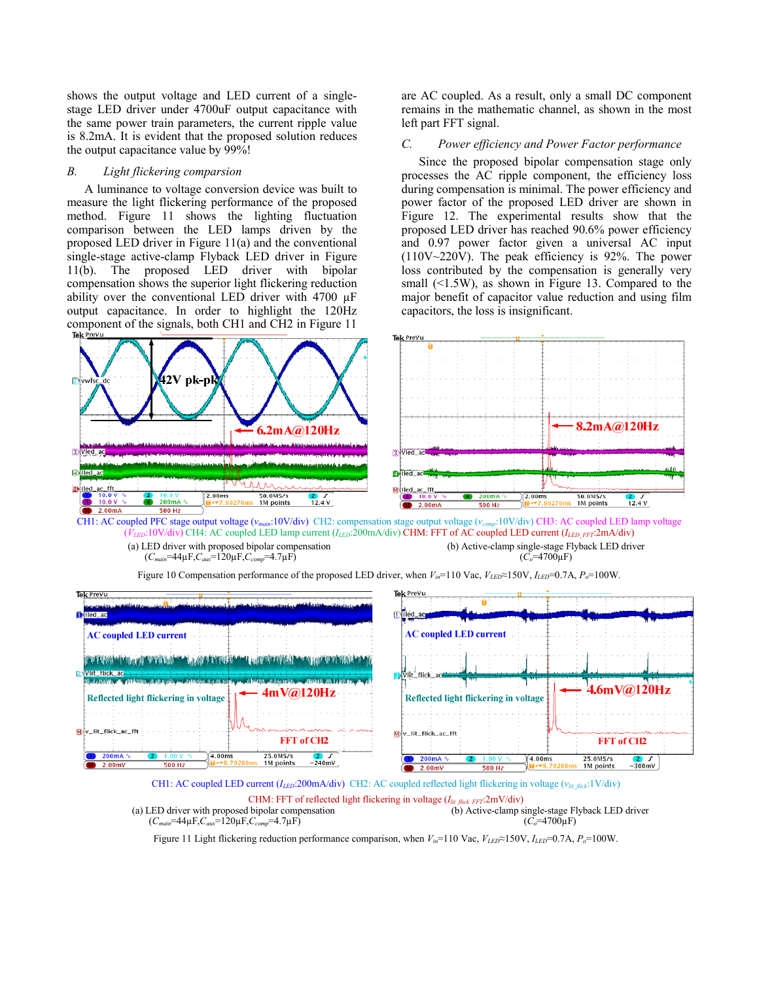shows the output voltage and LED current of a singlestage LED driver under 4700uF output capacitance with the same power train parameters, the current ripple value is 8.2mA. It is evident that the proposed solution reduces the output capacitance value by 99%!

## *B. Light flickering comparsion*

A luminance to voltage conversion device was built to measure the light flickering performance of the proposed method. Figure 11 shows the lighting fluctuation comparison between the LED lamps driven by the proposed LED driver in Figure 11(a) and the conventional single-stage active-clamp Flyback LED driver in Figure 11(b). The proposed LED driver with bipolar compensation shows the superior light flickering reduction ability over the conventional LED driver with 4700 µF output capacitance. In order to highlight the 120Hz component of the signals, both CH1 and CH2 in Figure 11

are AC coupled. As a result, only a small DC component remains in the mathematic channel, as shown in the most left part FFT signal.

# *C. Power efficiency and Power Factor performance*

Since the proposed bipolar compensation stage only processes the AC ripple component, the efficiency loss during compensation is minimal. The power efficiency and power factor of the proposed LED driver are shown in Figure 12. The experimental results show that the proposed LED driver has reached 90.6% power efficiency and 0.97 power factor given a universal AC input (110V~220V). The peak efficiency is 92%. The power loss contributed by the compensation is generally very small (<1.5W), as shown in Figure 13. Compared to the major benefit of capacitor value reduction and using film capacitors, the loss is insignificant.



 $(\hat{V}_{LED}$ :10V/div) CH4: AC coupled LED lamp current  $(I_{LED}$ :200mA/div) CHM: FFT of AC coupled LED current  $(I_{LED-FFT}$ :2mA/div) (a) LED driver with proposed bipolar compensation (*Cmain*=44µF,*Caux*=120µF,*Ccomp*=4.7µF) (b) Active-clamp single-stage Flyback LED driver  $(\tilde{C_0} = 4700 \mu F)$ 



Figure 10 Compensation performance of the proposed LED driver, when *Vin*=110 Vac, *VLED*≈150V, *ILED*=0.7A, *Po*=100W.

CH1: AC coupled LED current (*ILED*:200mA/div) CH2: AC coupled reflected light flickering in voltage (*vlit\_flick*:1V/div)

CHM: FFT of reflected light flickering in voltage (*Ilit flick FFT*:2mV/div) (a) LED driver with proposed bipolar compensation (*Cmain*=44µF,*Caux*=120µF,*Ccomp*=4.7µF) (b) Active-clamp single-stage Flyback LED driver  $(C<sub>o</sub>=4700\mu F)$ 

Figure 11 Light flickering reduction performance comparison, when *Vin*=110 Vac, *VLED*≈150V, *ILED*=0.7A, *Po*=100W.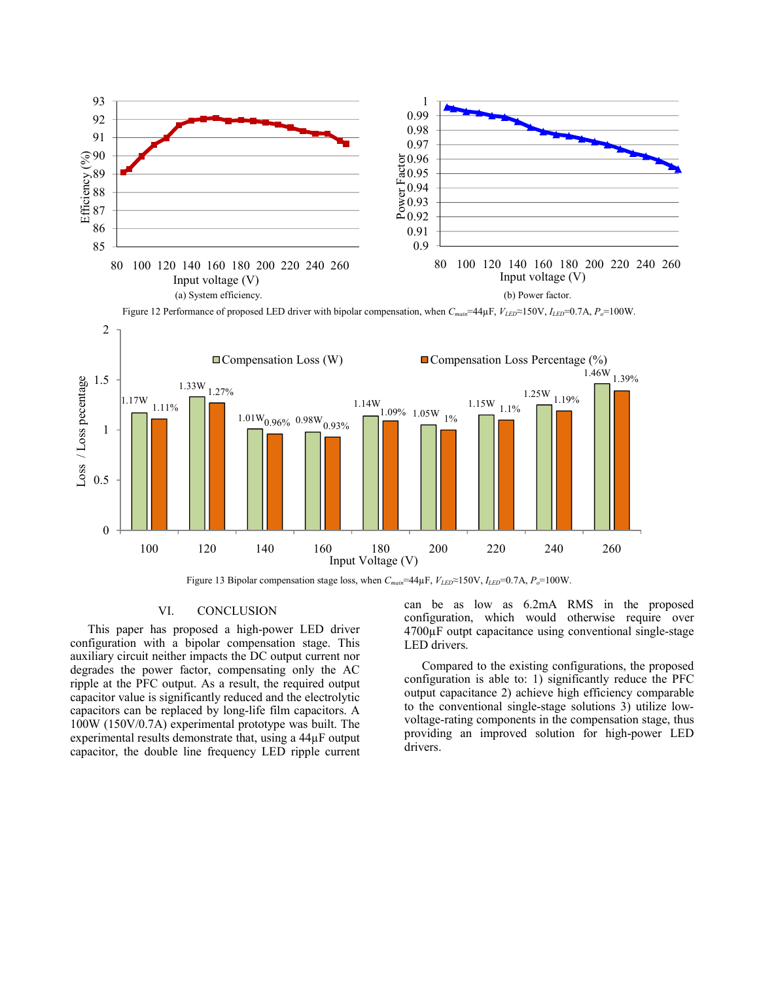

Figure 12 Performance of proposed LED driver with bipolar compensation, when *Cmain*=44µF, *VLED*≈150V, *ILED*=0.7A, *Po*=100W.



Figure 13 Bipolar compensation stage loss, when  $C_{main}$ =44µF,  $V_{LED}$ ≈150V,  $I_{LED}$ =0.7A,  $P_o$ =100W.

## VI. CONCLUSION

This paper has proposed a high-power LED driver configuration with a bipolar compensation stage. This auxiliary circuit neither impacts the DC output current nor degrades the power factor, compensating only the AC ripple at the PFC output. As a result, the required output capacitor value is significantly reduced and the electrolytic capacitors can be replaced by long-life film capacitors. A 100W (150V/0.7A) experimental prototype was built. The experimental results demonstrate that, using a 44µF output capacitor, the double line frequency LED ripple current can be as low as 6.2mA RMS in the proposed configuration, which would otherwise require over 4700µF outpt capacitance using conventional single-stage LED drivers.

Compared to the existing configurations, the proposed configuration is able to: 1) significantly reduce the PFC output capacitance 2) achieve high efficiency comparable to the conventional single-stage solutions 3) utilize lowvoltage-rating components in the compensation stage, thus providing an improved solution for high-power LED drivers.